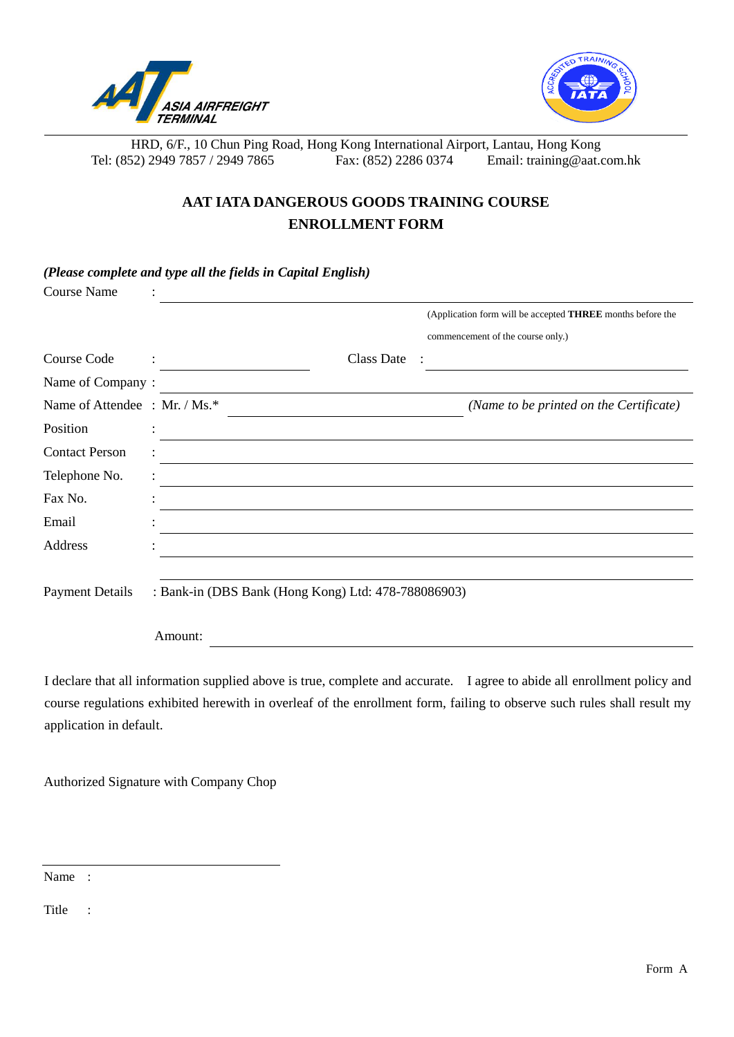

*(Please complete and type all the fields in Capital English)*



HRD, 6/F., 10 Chun Ping Road, Hong Kong International Airport, Lantau, Hong Kong Tel: (852) 2949 7857 / 2949 7865 Fax: (852) 2286 0374 Email: training@aat.com.hk

## **AAT IATA DANGEROUS GOODS TRAINING COURSE ENROLLMENT FORM**

| <b>Course Name</b>           |                                                     |            |                                                            |
|------------------------------|-----------------------------------------------------|------------|------------------------------------------------------------|
|                              |                                                     |            | (Application form will be accepted THREE months before the |
|                              |                                                     |            | commencement of the course only.)                          |
| Course Code                  | $\mathcal{L} = \mathcal{L}$                         | Class Date |                                                            |
| Name of Company:             |                                                     |            |                                                            |
| Name of Attendee: Mr. / Ms.* |                                                     |            | (Name to be printed on the Certificate)                    |
| Position                     |                                                     |            |                                                            |
| <b>Contact Person</b>        |                                                     |            |                                                            |
| Telephone No.                |                                                     |            |                                                            |
| Fax No.                      |                                                     |            |                                                            |
| Email                        |                                                     |            |                                                            |
| Address                      |                                                     |            |                                                            |
|                              |                                                     |            |                                                            |
| <b>Payment Details</b>       | : Bank-in (DBS Bank (Hong Kong) Ltd: 478-788086903) |            |                                                            |
|                              | Amount:                                             |            |                                                            |

I declare that all information supplied above is true, complete and accurate. I agree to abide all enrollment policy and course regulations exhibited herewith in overleaf of the enrollment form, failing to observe such rules shall result my application in default.

Authorized Signature with Company Chop

Name :

Title :